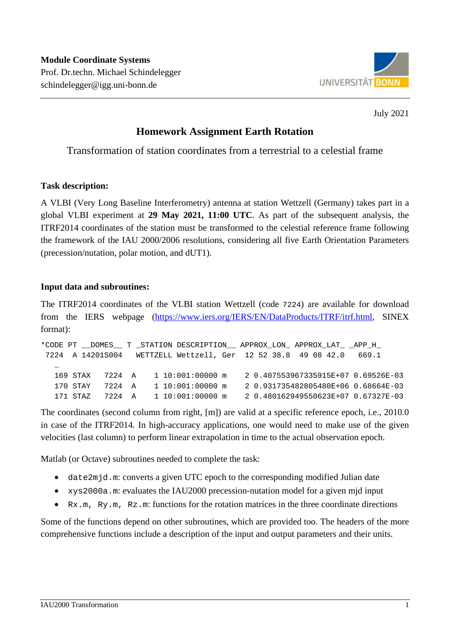

July 2021

# **Homework Assignment Earth Rotation**

Transformation of station coordinates from a terrestrial to a celestial frame

### **Task description:**

A VLBI (Very Long Baseline Interferometry) antenna at station Wettzell (Germany) takes part in a global VLBI experiment at **29 May 2021, 11:00 UTC**. As part of the subsequent analysis, the ITRF2014 coordinates of the station must be transformed to the celestial reference frame following the framework of the IAU 2000/2006 resolutions, considering all five Earth Orientation Parameters (precession/nutation, polar motion, and dUT1).

#### **Input data and subroutines:**

The ITRF2014 coordinates of the VLBI station Wettzell (code 7224) are available for download from the IERS webpage [\(https://www.iers.org/IERS/EN/DataProducts/ITRF/itrf.html,](https://www.iers.org/IERS/EN/DataProducts/ITRF/itrf.html) SINEX format):

```
*CODE PT __DOMES__ T _STATION DESCRIPTION__ APPROX_LON_ APPROX_LAT_ _APP_H_
7224 A 14201S004 WETTZELL Wettzell, Ger 12 52 38.8 49 08 42.0 669.1
 …
   169 STAX 7224 A 1 10:001:00000 m 2 0.407553967335915E+07 0.69526E-03<br>170 STAY 7224 A 1 10:001:00000 m 2 0.931735482805480E+06 0.68664E-03
    170 STAY 7224 A 1 10:001:00000 m 2 0.931735482805480E+06 0.68664E-03
    171 STAZ 7224 A 1 10:001:00000 m 2 0.480162949550623E+07 0.67327E-03
```
The coordinates (second column from right, [m]) are valid at a specific reference epoch, i.e., 2010.0 in case of the ITRF2014. In high-accuracy applications, one would need to make use of the given velocities (last column) to perform linear extrapolation in time to the actual observation epoch.

Matlab (or Octave) subroutines needed to complete the task:

- date2mjd.m: converts a given UTC epoch to the corresponding modified Julian date
- xys2000a.m: evaluates the IAU2000 precession-nutation model for a given mjd input
- Rx.m, Ry.m, Rz.m: functions for the rotation matrices in the three coordinate directions

Some of the functions depend on other subroutines, which are provided too. The headers of the more comprehensive functions include a description of the input and output parameters and their units.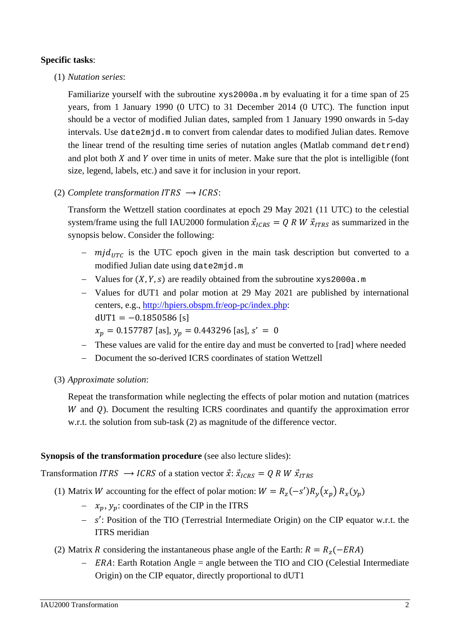### **Specific tasks**:

(1) *Nutation series*:

Familiarize yourself with the subroutine xys2000a.m by evaluating it for a time span of 25 years, from 1 January 1990 (0 UTC) to 31 December 2014 (0 UTC). The function input should be a vector of modified Julian dates, sampled from 1 January 1990 onwards in 5-day intervals. Use date2mjd.m to convert from calendar dates to modified Julian dates. Remove the linear trend of the resulting time series of nutation angles (Matlab command detrend) and plot both  $X$  and  $Y$  over time in units of meter. Make sure that the plot is intelligible (font size, legend, labels, etc.) and save it for inclusion in your report.

(2) *Complete transformation*  $ITRS \rightarrow ICRS$ :

Transform the Wettzell station coordinates at epoch 29 May 2021 (11 UTC) to the celestial system/frame using the full IAU2000 formulation  $\vec{x}_{ICRS} = Q R W \vec{x}_{ITRS}$  as summarized in the synopsis below. Consider the following:

- $-$  mjd<sub>UTC</sub> is the UTC epoch given in the main task description but converted to a modified Julian date using date2mjd.m
- − Values for  $(X, Y, s)$  are readily obtained from the subroutine xys2000a.m
- − Values for dUT1 and polar motion at 29 May 2021 are published by international centers, e.g., [http://hpiers.obspm.fr/eop-pc/index.php:](http://hpiers.obspm.fr/eop-pc/index.php)  $dUT1 = -0.1850586$  [s]

 $x_n = 0.157787$  [as],  $y_n = 0.443296$  [as],  $s' = 0$ 

- − These values are valid for the entire day and must be converted to [rad] where needed
- − Document the so-derived ICRS coordinates of station Wettzell
- (3) *Approximate solution*:

Repeat the transformation while neglecting the effects of polar motion and nutation (matrices  $W$  and  $Q$ ). Document the resulting ICRS coordinates and quantify the approximation error w.r.t. the solution from sub-task (2) as magnitude of the difference vector.

#### **Synopsis of the transformation procedure** (see also lecture slides):

Transformation ITRS  $\rightarrow$  ICRS of a station vector  $\vec{x}$ :  $\vec{x}_{ICRS} = Q \, R \, W \, \vec{x}_{ITRS}$ 

- (1) Matrix *W* accounting for the effect of polar motion:  $W = R_z(-s')R_y(x_p) R_x(y_p)$ 
	- $x_p, y_p$ : coordinates of the CIP in the ITRS
	- − *s'*: Position of the TIO (Terrestrial Intermediate Origin) on the CIP equator w.r.t. the ITRS meridian
- (2) Matrix R considering the instantaneous phase angle of the Earth:  $R = R<sub>z</sub>(-ERA)$ 
	- − ERA: Earth Rotation Angle = angle between the TIO and CIO (Celestial Intermediate Origin) on the CIP equator, directly proportional to dUT1